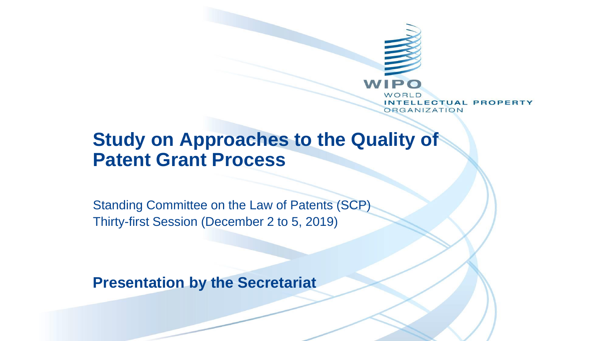

### **Study on Approaches to the Quality of Patent Grant Process**

Standing Committee on the Law of Patents (SCP) Thirty-first Session (December 2 to 5, 2019)

**Presentation by the Secretariat**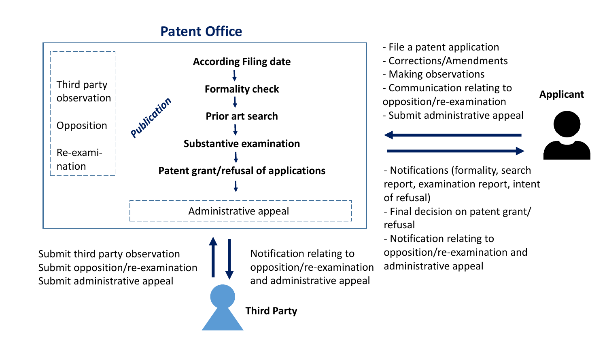#### **Patent Office**



Submit third party observation Submit opposition/re-examination Submit administrative appeal

Notification relating to opposition/re-examination and administrative appeal

- File a patent application
- Corrections/Amendments
- Making observations
- Communication relating to opposition/re-examination
- Submit administrative appeal



**Applicant**

- Notifications (formality, search report, examination report, intent of refusal)

- Final decision on patent grant/ refusal

- Notification relating to opposition/re-examination and administrative appeal

#### **Third Party**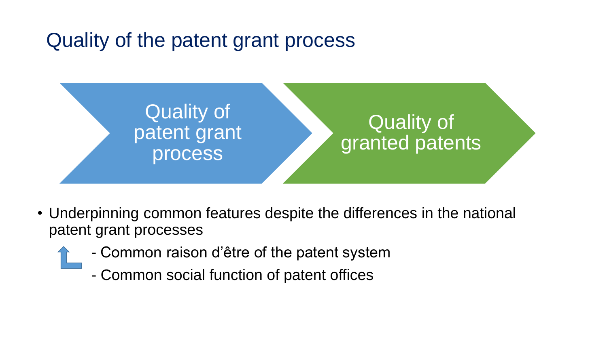# Quality of the patent grant process



- Underpinning common features despite the differences in the national patent grant processes
	- Common raison d'être of the patent system
		- Common social function of patent offices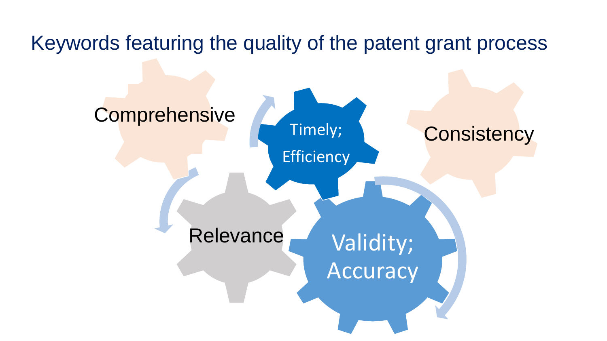## Keywords featuring the quality of the patent grant process